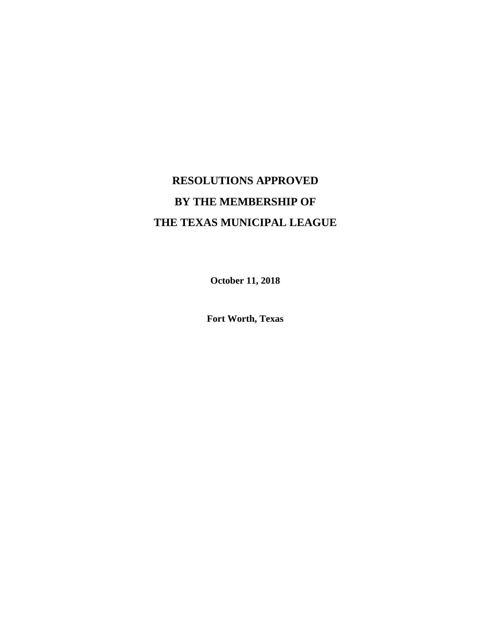# **RESOLUTIONS APPROVED BY THE MEMBERSHIP OF THE TEXAS MUNICIPAL LEAGUE**

**October 11, 2018**

**Fort Worth, Texas**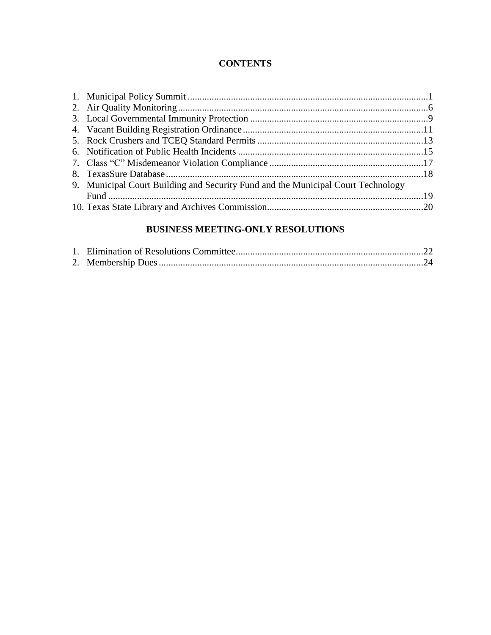# **CONTENTS**

| 9. Municipal Court Building and Security Fund and the Municipal Court Technology |  |
|----------------------------------------------------------------------------------|--|
|                                                                                  |  |
|                                                                                  |  |
|                                                                                  |  |

# **BUSINESS MEETING-ONLY RESOLUTIONS**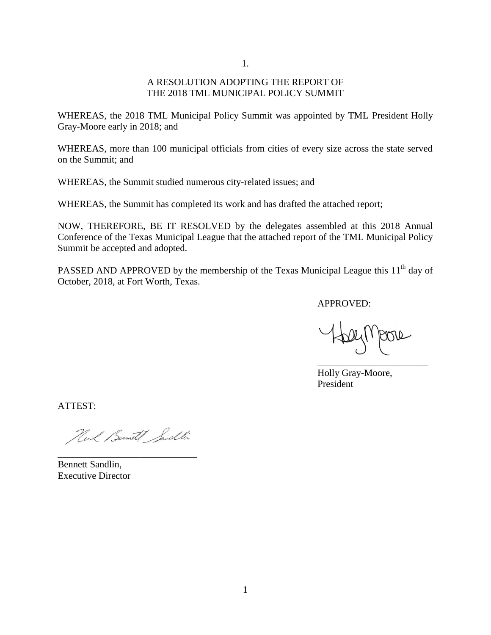1.

#### A RESOLUTION ADOPTING THE REPORT OF THE 2018 TML MUNICIPAL POLICY SUMMIT

WHEREAS, the 2018 TML Municipal Policy Summit was appointed by TML President Holly Gray-Moore early in 2018; and

WHEREAS, more than 100 municipal officials from cities of every size across the state served on the Summit; and

WHEREAS, the Summit studied numerous city-related issues; and

WHEREAS, the Summit has completed its work and has drafted the attached report;

NOW, THEREFORE, BE IT RESOLVED by the delegates assembled at this 2018 Annual Conference of the Texas Municipal League that the attached report of the TML Municipal Policy Summit be accepted and adopted.

PASSED AND APPROVED by the membership of the Texas Municipal League this  $11<sup>th</sup>$  day of October, 2018, at Fort Worth, Texas.

APPROVED:

\_\_\_\_\_\_\_\_\_\_\_\_\_\_\_\_\_\_\_\_\_\_\_

Holly Gray-Moore, President

ATTEST:

Newl Bennett Sendlin

Bennett Sandlin, Executive Director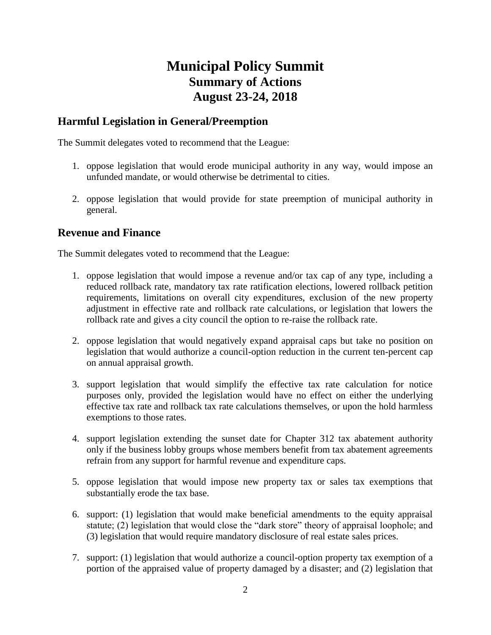# **Municipal Policy Summit Summary of Actions August 23-24, 2018**

# **Harmful Legislation in General/Preemption**

The Summit delegates voted to recommend that the League:

- 1. oppose legislation that would erode municipal authority in any way, would impose an unfunded mandate, or would otherwise be detrimental to cities.
- 2. oppose legislation that would provide for state preemption of municipal authority in general.

# **Revenue and Finance**

The Summit delegates voted to recommend that the League:

- 1. oppose legislation that would impose a revenue and/or tax cap of any type, including a reduced rollback rate, mandatory tax rate ratification elections, lowered rollback petition requirements, limitations on overall city expenditures, exclusion of the new property adjustment in effective rate and rollback rate calculations, or legislation that lowers the rollback rate and gives a city council the option to re-raise the rollback rate.
- 2. oppose legislation that would negatively expand appraisal caps but take no position on legislation that would authorize a council-option reduction in the current ten-percent cap on annual appraisal growth.
- 3. support legislation that would simplify the effective tax rate calculation for notice purposes only, provided the legislation would have no effect on either the underlying effective tax rate and rollback tax rate calculations themselves, or upon the hold harmless exemptions to those rates.
- 4. support legislation extending the sunset date for Chapter 312 tax abatement authority only if the business lobby groups whose members benefit from tax abatement agreements refrain from any support for harmful revenue and expenditure caps.
- 5. oppose legislation that would impose new property tax or sales tax exemptions that substantially erode the tax base.
- 6. support: (1) legislation that would make beneficial amendments to the equity appraisal statute; (2) legislation that would close the "dark store" theory of appraisal loophole; and (3) legislation that would require mandatory disclosure of real estate sales prices.
- 7. support: (1) legislation that would authorize a council-option property tax exemption of a portion of the appraised value of property damaged by a disaster; and (2) legislation that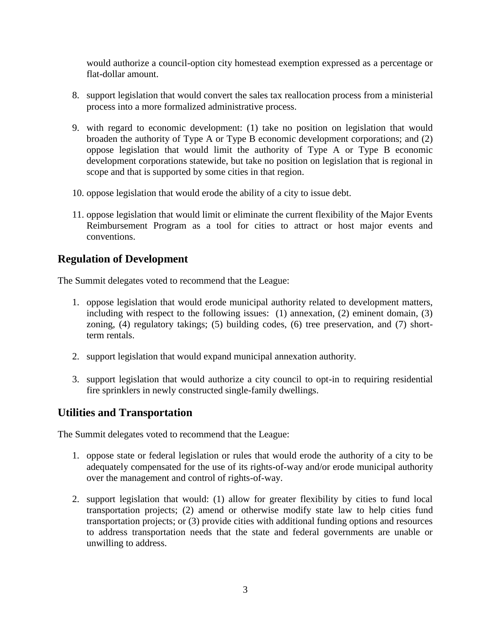would authorize a council-option city homestead exemption expressed as a percentage or flat-dollar amount.

- 8. support legislation that would convert the sales tax reallocation process from a ministerial process into a more formalized administrative process.
- 9. with regard to economic development: (1) take no position on legislation that would broaden the authority of Type A or Type B economic development corporations; and (2) oppose legislation that would limit the authority of Type A or Type B economic development corporations statewide, but take no position on legislation that is regional in scope and that is supported by some cities in that region.
- 10. oppose legislation that would erode the ability of a city to issue debt.
- 11. oppose legislation that would limit or eliminate the current flexibility of the Major Events Reimbursement Program as a tool for cities to attract or host major events and conventions.

# **Regulation of Development**

The Summit delegates voted to recommend that the League:

- 1. oppose legislation that would erode municipal authority related to development matters, including with respect to the following issues: (1) annexation, (2) eminent domain, (3) zoning, (4) regulatory takings; (5) building codes, (6) tree preservation, and (7) shortterm rentals.
- 2. support legislation that would expand municipal annexation authority.
- 3. support legislation that would authorize a city council to opt-in to requiring residential fire sprinklers in newly constructed single-family dwellings.

# **Utilities and Transportation**

The Summit delegates voted to recommend that the League:

- 1. oppose state or federal legislation or rules that would erode the authority of a city to be adequately compensated for the use of its rights-of-way and/or erode municipal authority over the management and control of rights-of-way.
- 2. support legislation that would: (1) allow for greater flexibility by cities to fund local transportation projects; (2) amend or otherwise modify state law to help cities fund transportation projects; or (3) provide cities with additional funding options and resources to address transportation needs that the state and federal governments are unable or unwilling to address.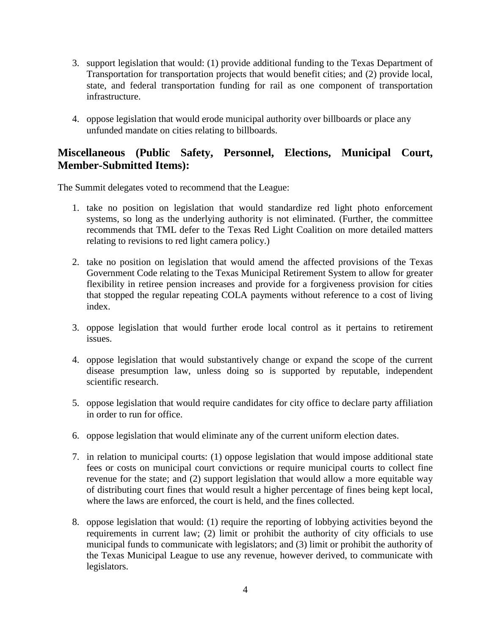- 3. support legislation that would: (1) provide additional funding to the Texas Department of Transportation for transportation projects that would benefit cities; and (2) provide local, state, and federal transportation funding for rail as one component of transportation infrastructure.
- 4. oppose legislation that would erode municipal authority over billboards or place any unfunded mandate on cities relating to billboards.

# **Miscellaneous (Public Safety, Personnel, Elections, Municipal Court, Member-Submitted Items):**

The Summit delegates voted to recommend that the League:

- 1. take no position on legislation that would standardize red light photo enforcement systems, so long as the underlying authority is not eliminated. (Further, the committee recommends that TML defer to the Texas Red Light Coalition on more detailed matters relating to revisions to red light camera policy.)
- 2. take no position on legislation that would amend the affected provisions of the Texas Government Code relating to the Texas Municipal Retirement System to allow for greater flexibility in retiree pension increases and provide for a forgiveness provision for cities that stopped the regular repeating COLA payments without reference to a cost of living index.
- 3. oppose legislation that would further erode local control as it pertains to retirement issues.
- 4. oppose legislation that would substantively change or expand the scope of the current disease presumption law, unless doing so is supported by reputable, independent scientific research.
- 5. oppose legislation that would require candidates for city office to declare party affiliation in order to run for office.
- 6. oppose legislation that would eliminate any of the current uniform election dates.
- 7. in relation to municipal courts: (1) oppose legislation that would impose additional state fees or costs on municipal court convictions or require municipal courts to collect fine revenue for the state; and (2) support legislation that would allow a more equitable way of distributing court fines that would result a higher percentage of fines being kept local, where the laws are enforced, the court is held, and the fines collected.
- 8. oppose legislation that would: (1) require the reporting of lobbying activities beyond the requirements in current law; (2) limit or prohibit the authority of city officials to use municipal funds to communicate with legislators; and (3) limit or prohibit the authority of the Texas Municipal League to use any revenue, however derived, to communicate with legislators.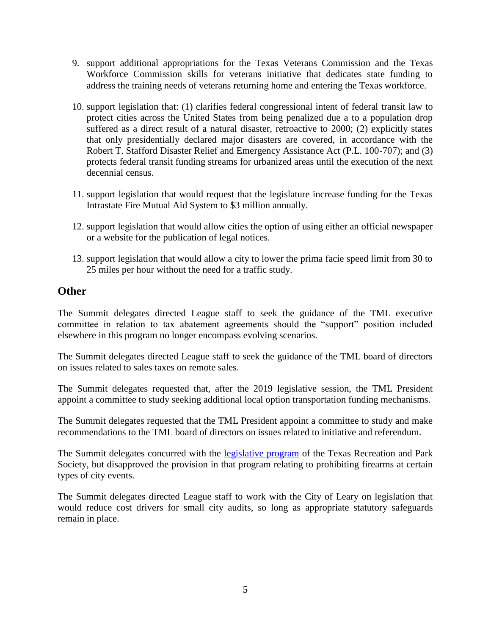- 9. support additional appropriations for the Texas Veterans Commission and the Texas Workforce Commission skills for veterans initiative that dedicates state funding to address the training needs of veterans returning home and entering the Texas workforce.
- 10. support legislation that: (1) clarifies federal congressional intent of federal transit law to protect cities across the United States from being penalized due a to a population drop suffered as a direct result of a natural disaster, retroactive to 2000; (2) explicitly states that only presidentially declared major disasters are covered, in accordance with the Robert T. Stafford Disaster Relief and Emergency Assistance Act (P.L. 100-707); and (3) protects federal transit funding streams for urbanized areas until the execution of the next decennial census.
- 11. support legislation that would request that the legislature increase funding for the Texas Intrastate Fire Mutual Aid System to \$3 million annually.
- 12. support legislation that would allow cities the option of using either an official newspaper or a website for the publication of legal notices.
- 13. support legislation that would allow a city to lower the prima facie speed limit from 30 to 25 miles per hour without the need for a traffic study.

# **Other**

The Summit delegates directed League staff to seek the guidance of the TML executive committee in relation to tax abatement agreements should the "support" position included elsewhere in this program no longer encompass evolving scenarios.

The Summit delegates directed League staff to seek the guidance of the TML board of directors on issues related to sales taxes on remote sales.

The Summit delegates requested that, after the 2019 legislative session, the TML President appoint a committee to study seeking additional local option transportation funding mechanisms.

The Summit delegates requested that the TML President appoint a committee to study and make recommendations to the TML board of directors on issues related to initiative and referendum.

The Summit delegates concurred with the [legislative program](http://traps.org/legislative-efforts/) of the Texas Recreation and Park Society, but disapproved the provision in that program relating to prohibiting firearms at certain types of city events.

The Summit delegates directed League staff to work with the City of Leary on legislation that would reduce cost drivers for small city audits, so long as appropriate statutory safeguards remain in place.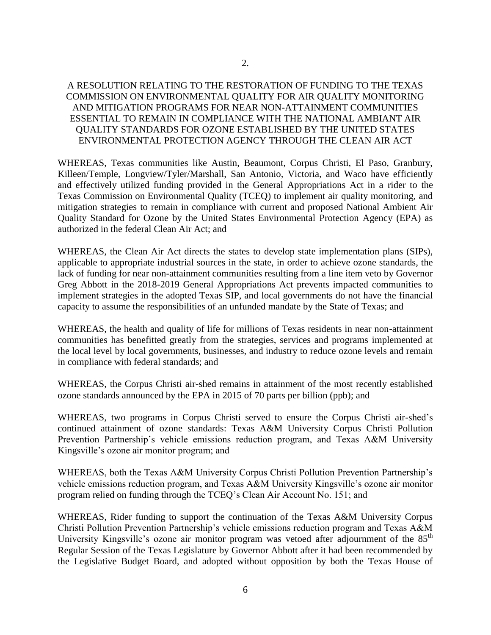#### A RESOLUTION RELATING TO THE RESTORATION OF FUNDING TO THE TEXAS COMMISSION ON ENVIRONMENTAL QUALITY FOR AIR QUALITY MONITORING AND MITIGATION PROGRAMS FOR NEAR NON-ATTAINMENT COMMUNITIES ESSENTIAL TO REMAIN IN COMPLIANCE WITH THE NATIONAL AMBIANT AIR QUALITY STANDARDS FOR OZONE ESTABLISHED BY THE UNITED STATES ENVIRONMENTAL PROTECTION AGENCY THROUGH THE CLEAN AIR ACT

WHEREAS, Texas communities like Austin, Beaumont, Corpus Christi, El Paso, Granbury, Killeen/Temple, Longview/Tyler/Marshall, San Antonio, Victoria, and Waco have efficiently and effectively utilized funding provided in the General Appropriations Act in a rider to the Texas Commission on Environmental Quality (TCEQ) to implement air quality monitoring, and mitigation strategies to remain in compliance with current and proposed National Ambient Air Quality Standard for Ozone by the United States Environmental Protection Agency (EPA) as authorized in the federal Clean Air Act; and

WHEREAS, the Clean Air Act directs the states to develop state implementation plans (SIPs), applicable to appropriate industrial sources in the state, in order to achieve ozone standards, the lack of funding for near non-attainment communities resulting from a line item veto by Governor Greg Abbott in the 2018-2019 General Appropriations Act prevents impacted communities to implement strategies in the adopted Texas SIP, and local governments do not have the financial capacity to assume the responsibilities of an unfunded mandate by the State of Texas; and

WHEREAS, the health and quality of life for millions of Texas residents in near non-attainment communities has benefitted greatly from the strategies, services and programs implemented at the local level by local governments, businesses, and industry to reduce ozone levels and remain in compliance with federal standards; and

WHEREAS, the Corpus Christi air-shed remains in attainment of the most recently established ozone standards announced by the EPA in 2015 of 70 parts per billion (ppb); and

WHEREAS, two programs in Corpus Christi served to ensure the Corpus Christi air-shed's continued attainment of ozone standards: Texas A&M University Corpus Christi Pollution Prevention Partnership's vehicle emissions reduction program, and Texas A&M University Kingsville's ozone air monitor program; and

WHEREAS, both the Texas A&M University Corpus Christi Pollution Prevention Partnership's vehicle emissions reduction program, and Texas A&M University Kingsville's ozone air monitor program relied on funding through the TCEQ's Clean Air Account No. 151; and

WHEREAS, Rider funding to support the continuation of the Texas A&M University Corpus Christi Pollution Prevention Partnership's vehicle emissions reduction program and Texas A&M University Kingsville's ozone air monitor program was vetoed after adjournment of the 85<sup>th</sup> Regular Session of the Texas Legislature by Governor Abbott after it had been recommended by the Legislative Budget Board, and adopted without opposition by both the Texas House of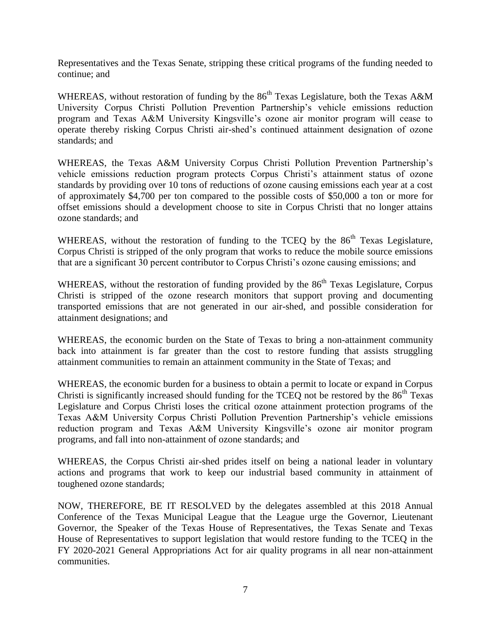Representatives and the Texas Senate, stripping these critical programs of the funding needed to continue; and

WHEREAS, without restoration of funding by the 86<sup>th</sup> Texas Legislature, both the Texas A&M University Corpus Christi Pollution Prevention Partnership's vehicle emissions reduction program and Texas A&M University Kingsville's ozone air monitor program will cease to operate thereby risking Corpus Christi air-shed's continued attainment designation of ozone standards; and

WHEREAS, the Texas A&M University Corpus Christi Pollution Prevention Partnership's vehicle emissions reduction program protects Corpus Christi's attainment status of ozone standards by providing over 10 tons of reductions of ozone causing emissions each year at a cost of approximately \$4,700 per ton compared to the possible costs of \$50,000 a ton or more for offset emissions should a development choose to site in Corpus Christi that no longer attains ozone standards; and

WHEREAS, without the restoration of funding to the TCEQ by the  $86<sup>th</sup>$  Texas Legislature, Corpus Christi is stripped of the only program that works to reduce the mobile source emissions that are a significant 30 percent contributor to Corpus Christi's ozone causing emissions; and

WHEREAS, without the restoration of funding provided by the 86<sup>th</sup> Texas Legislature, Corpus Christi is stripped of the ozone research monitors that support proving and documenting transported emissions that are not generated in our air-shed, and possible consideration for attainment designations; and

WHEREAS, the economic burden on the State of Texas to bring a non-attainment community back into attainment is far greater than the cost to restore funding that assists struggling attainment communities to remain an attainment community in the State of Texas; and

WHEREAS, the economic burden for a business to obtain a permit to locate or expand in Corpus Christi is significantly increased should funding for the TCEO not be restored by the  $86<sup>th</sup>$  Texas Legislature and Corpus Christi loses the critical ozone attainment protection programs of the Texas A&M University Corpus Christi Pollution Prevention Partnership's vehicle emissions reduction program and Texas A&M University Kingsville's ozone air monitor program programs, and fall into non-attainment of ozone standards; and

WHEREAS, the Corpus Christi air-shed prides itself on being a national leader in voluntary actions and programs that work to keep our industrial based community in attainment of toughened ozone standards;

NOW, THEREFORE, BE IT RESOLVED by the delegates assembled at this 2018 Annual Conference of the Texas Municipal League that the League urge the Governor, Lieutenant Governor, the Speaker of the Texas House of Representatives, the Texas Senate and Texas House of Representatives to support legislation that would restore funding to the TCEQ in the FY 2020-2021 General Appropriations Act for air quality programs in all near non-attainment communities.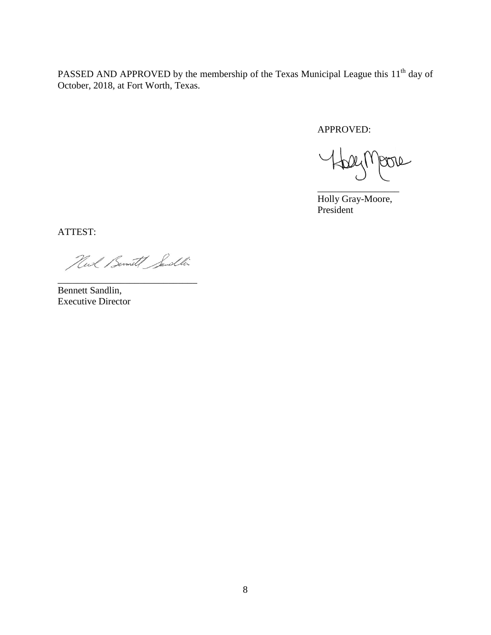PASSED AND APPROVED by the membership of the Texas Municipal League this 11<sup>th</sup> day of October, 2018, at Fort Worth, Texas.

APPROVED:

poro  $HDP(N)$ \_\_\_\_\_\_\_\_\_\_\_\_\_\_\_\_\_

Holly Gray-Moore, President

ATTEST:

Huck Bernet Sendlin

\_\_\_\_\_\_\_\_\_\_\_\_\_\_\_\_\_\_\_\_\_\_\_\_\_\_\_\_\_

Bennett Sandlin, Executive Director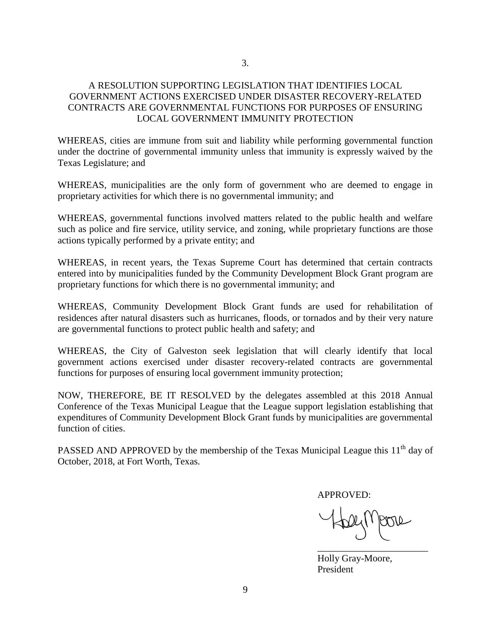#### A RESOLUTION SUPPORTING LEGISLATION THAT IDENTIFIES LOCAL GOVERNMENT ACTIONS EXERCISED UNDER DISASTER RECOVERY-RELATED CONTRACTS ARE GOVERNMENTAL FUNCTIONS FOR PURPOSES OF ENSURING LOCAL GOVERNMENT IMMUNITY PROTECTION

WHEREAS, cities are immune from suit and liability while performing governmental function under the doctrine of governmental immunity unless that immunity is expressly waived by the Texas Legislature; and

WHEREAS, municipalities are the only form of government who are deemed to engage in proprietary activities for which there is no governmental immunity; and

WHEREAS, governmental functions involved matters related to the public health and welfare such as police and fire service, utility service, and zoning, while proprietary functions are those actions typically performed by a private entity; and

WHEREAS, in recent years, the Texas Supreme Court has determined that certain contracts entered into by municipalities funded by the Community Development Block Grant program are proprietary functions for which there is no governmental immunity; and

WHEREAS, Community Development Block Grant funds are used for rehabilitation of residences after natural disasters such as hurricanes, floods, or tornados and by their very nature are governmental functions to protect public health and safety; and

WHEREAS, the City of Galveston seek legislation that will clearly identify that local government actions exercised under disaster recovery-related contracts are governmental functions for purposes of ensuring local government immunity protection;

NOW, THEREFORE, BE IT RESOLVED by the delegates assembled at this 2018 Annual Conference of the Texas Municipal League that the League support legislation establishing that expenditures of Community Development Block Grant funds by municipalities are governmental function of cities.

PASSED AND APPROVED by the membership of the Texas Municipal League this  $11<sup>th</sup>$  day of October, 2018, at Fort Worth, Texas.

APPROVED:

\_\_\_\_\_\_\_\_\_\_\_\_\_\_\_\_\_\_\_\_\_\_\_

Holly Gray-Moore, President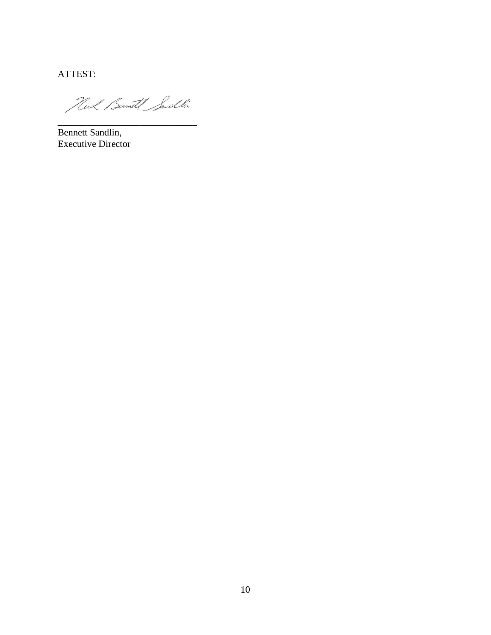ATTEST:

Hud Bernet Sendlin

Bennett Sandlin, Executive Director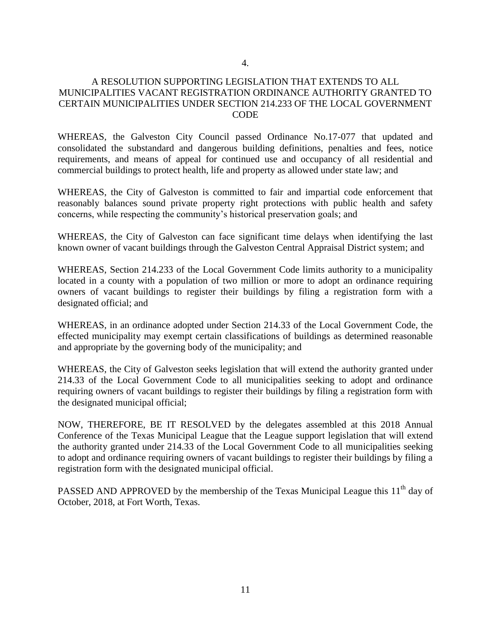#### A RESOLUTION SUPPORTING LEGISLATION THAT EXTENDS TO ALL MUNICIPALITIES VACANT REGISTRATION ORDINANCE AUTHORITY GRANTED TO CERTAIN MUNICIPALITIES UNDER SECTION 214.233 OF THE LOCAL GOVERNMENT CODE

WHEREAS, the Galveston City Council passed Ordinance No.17-077 that updated and consolidated the substandard and dangerous building definitions, penalties and fees, notice requirements, and means of appeal for continued use and occupancy of all residential and commercial buildings to protect health, life and property as allowed under state law; and

WHEREAS, the City of Galveston is committed to fair and impartial code enforcement that reasonably balances sound private property right protections with public health and safety concerns, while respecting the community's historical preservation goals; and

WHEREAS, the City of Galveston can face significant time delays when identifying the last known owner of vacant buildings through the Galveston Central Appraisal District system; and

WHEREAS, Section 214.233 of the Local Government Code limits authority to a municipality located in a county with a population of two million or more to adopt an ordinance requiring owners of vacant buildings to register their buildings by filing a registration form with a designated official; and

WHEREAS, in an ordinance adopted under Section 214.33 of the Local Government Code, the effected municipality may exempt certain classifications of buildings as determined reasonable and appropriate by the governing body of the municipality; and

WHEREAS, the City of Galveston seeks legislation that will extend the authority granted under 214.33 of the Local Government Code to all municipalities seeking to adopt and ordinance requiring owners of vacant buildings to register their buildings by filing a registration form with the designated municipal official;

NOW, THEREFORE, BE IT RESOLVED by the delegates assembled at this 2018 Annual Conference of the Texas Municipal League that the League support legislation that will extend the authority granted under 214.33 of the Local Government Code to all municipalities seeking to adopt and ordinance requiring owners of vacant buildings to register their buildings by filing a registration form with the designated municipal official.

PASSED AND APPROVED by the membership of the Texas Municipal League this 11<sup>th</sup> day of October, 2018, at Fort Worth, Texas.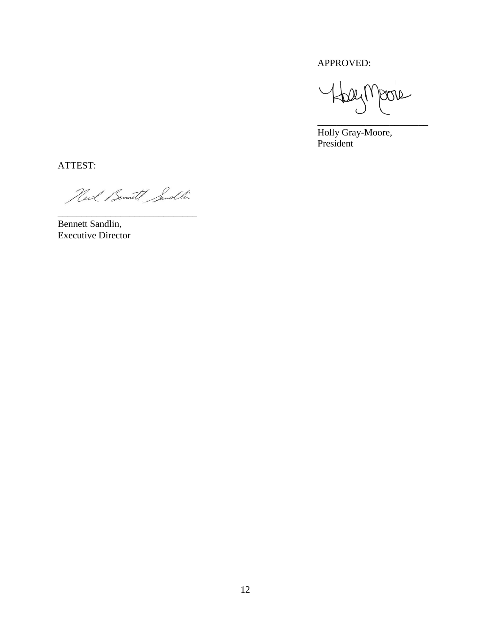APPROVED:

Jeon  $24(1)$ \_\_\_\_\_\_\_\_\_\_\_\_\_\_\_\_\_\_\_\_\_\_\_

Holly Gray-Moore, President

ATTEST:

Huck Bernett Sendlin

Bennett Sandlin, Executive Director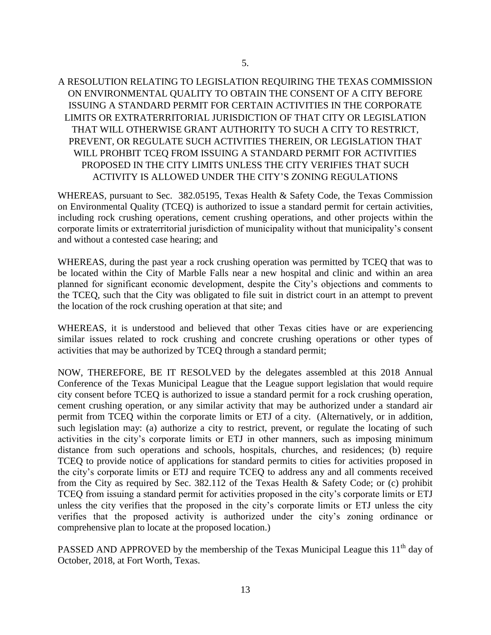### A RESOLUTION RELATING TO LEGISLATION REQUIRING THE TEXAS COMMISSION ON ENVIRONMENTAL QUALITY TO OBTAIN THE CONSENT OF A CITY BEFORE ISSUING A STANDARD PERMIT FOR CERTAIN ACTIVITIES IN THE CORPORATE LIMITS OR EXTRATERRITORIAL JURISDICTION OF THAT CITY OR LEGISLATION THAT WILL OTHERWISE GRANT AUTHORITY TO SUCH A CITY TO RESTRICT, PREVENT, OR REGULATE SUCH ACTIVITIES THEREIN, OR LEGISLATION THAT WILL PROHBIT TCEQ FROM ISSUING A STANDARD PERMIT FOR ACTIVITIES PROPOSED IN THE CITY LIMITS UNLESS THE CITY VERIFIES THAT SUCH ACTIVITY IS ALLOWED UNDER THE CITY'S ZONING REGULATIONS

WHEREAS, pursuant to Sec. 382.05195, Texas Health & Safety Code, the Texas Commission on Environmental Quality (TCEQ) is authorized to issue a standard permit for certain activities, including rock crushing operations, cement crushing operations, and other projects within the corporate limits or extraterritorial jurisdiction of municipality without that municipality's consent and without a contested case hearing; and

WHEREAS, during the past year a rock crushing operation was permitted by TCEQ that was to be located within the City of Marble Falls near a new hospital and clinic and within an area planned for significant economic development, despite the City's objections and comments to the TCEQ, such that the City was obligated to file suit in district court in an attempt to prevent the location of the rock crushing operation at that site; and

WHEREAS, it is understood and believed that other Texas cities have or are experiencing similar issues related to rock crushing and concrete crushing operations or other types of activities that may be authorized by TCEQ through a standard permit;

NOW, THEREFORE, BE IT RESOLVED by the delegates assembled at this 2018 Annual Conference of the Texas Municipal League that the League support legislation that would require city consent before TCEQ is authorized to issue a standard permit for a rock crushing operation, cement crushing operation, or any similar activity that may be authorized under a standard air permit from TCEQ within the corporate limits or ETJ of a city. (Alternatively, or in addition, such legislation may: (a) authorize a city to restrict, prevent, or regulate the locating of such activities in the city's corporate limits or ETJ in other manners, such as imposing minimum distance from such operations and schools, hospitals, churches, and residences; (b) require TCEQ to provide notice of applications for standard permits to cities for activities proposed in the city's corporate limits or ETJ and require TCEQ to address any and all comments received from the City as required by Sec. 382.112 of the Texas Health & Safety Code; or (c) prohibit TCEQ from issuing a standard permit for activities proposed in the city's corporate limits or ETJ unless the city verifies that the proposed in the city's corporate limits or ETJ unless the city verifies that the proposed activity is authorized under the city's zoning ordinance or comprehensive plan to locate at the proposed location.)

PASSED AND APPROVED by the membership of the Texas Municipal League this  $11<sup>th</sup>$  day of October, 2018, at Fort Worth, Texas.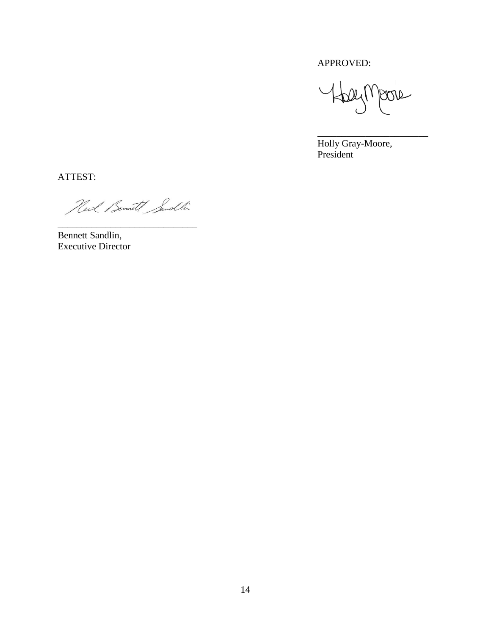APPROVED:

Halympore

\_\_\_\_\_\_\_\_\_\_\_\_\_\_\_\_\_\_\_\_\_\_\_

Holly Gray-Moore, President

ATTEST:

Huck Bernet Sendlin

Bennett Sandlin, Executive Director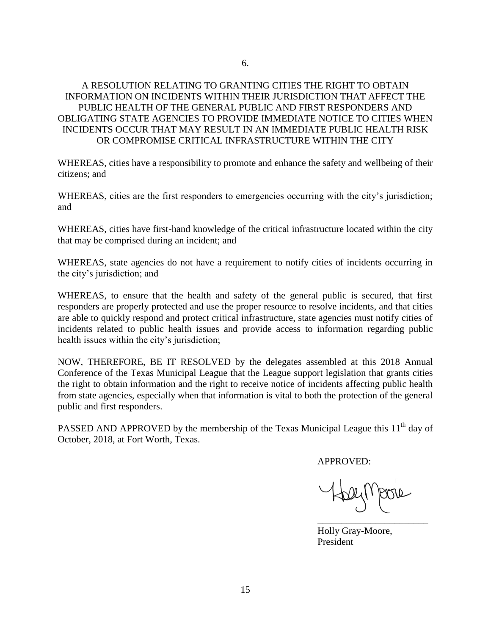#### A RESOLUTION RELATING TO GRANTING CITIES THE RIGHT TO OBTAIN INFORMATION ON INCIDENTS WITHIN THEIR JURISDICTION THAT AFFECT THE PUBLIC HEALTH OF THE GENERAL PUBLIC AND FIRST RESPONDERS AND OBLIGATING STATE AGENCIES TO PROVIDE IMMEDIATE NOTICE TO CITIES WHEN INCIDENTS OCCUR THAT MAY RESULT IN AN IMMEDIATE PUBLIC HEALTH RISK OR COMPROMISE CRITICAL INFRASTRUCTURE WITHIN THE CITY

WHEREAS, cities have a responsibility to promote and enhance the safety and wellbeing of their citizens; and

WHEREAS, cities are the first responders to emergencies occurring with the city's jurisdiction; and

WHEREAS, cities have first-hand knowledge of the critical infrastructure located within the city that may be comprised during an incident; and

WHEREAS, state agencies do not have a requirement to notify cities of incidents occurring in the city's jurisdiction; and

WHEREAS, to ensure that the health and safety of the general public is secured, that first responders are properly protected and use the proper resource to resolve incidents, and that cities are able to quickly respond and protect critical infrastructure, state agencies must notify cities of incidents related to public health issues and provide access to information regarding public health issues within the city's jurisdiction;

NOW, THEREFORE, BE IT RESOLVED by the delegates assembled at this 2018 Annual Conference of the Texas Municipal League that the League support legislation that grants cities the right to obtain information and the right to receive notice of incidents affecting public health from state agencies, especially when that information is vital to both the protection of the general public and first responders.

PASSED AND APPROVED by the membership of the Texas Municipal League this  $11<sup>th</sup>$  day of October, 2018, at Fort Worth, Texas.

APPROVED:

\_\_\_\_\_\_\_\_\_\_\_\_\_\_\_\_\_\_\_\_\_\_\_

Holly Gray-Moore, President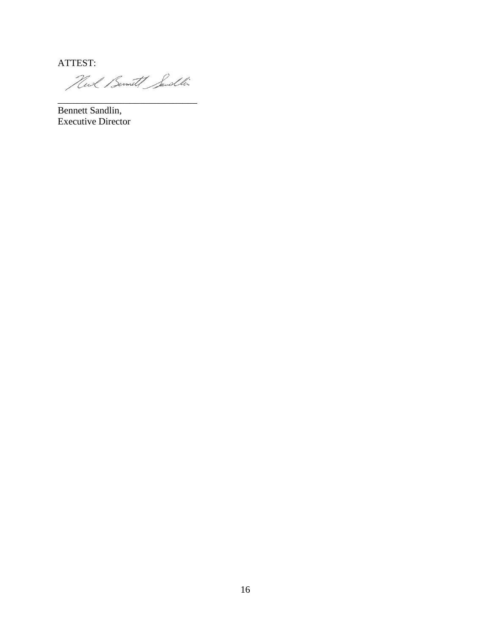ATTEST:

Hud Bernet Sendlin

 $\overline{\phantom{a}}$  , and the set of the set of the set of the set of the set of the set of the set of the set of the set of the set of the set of the set of the set of the set of the set of the set of the set of the set of the s

Bennett Sandlin, Executive Director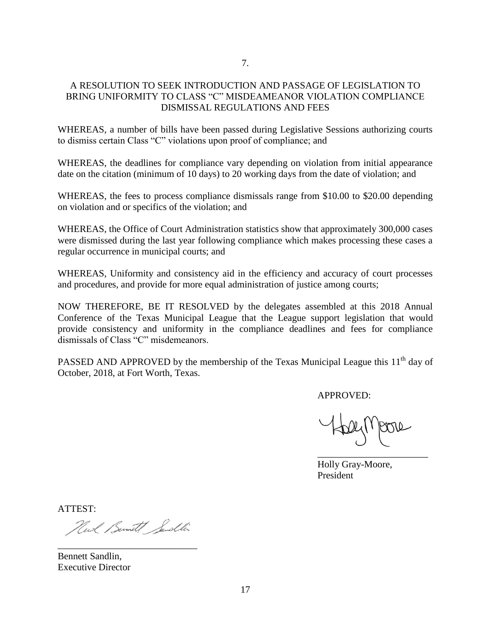#### A RESOLUTION TO SEEK INTRODUCTION AND PASSAGE OF LEGISLATION TO BRING UNIFORMITY TO CLASS "C" MISDEAMEANOR VIOLATION COMPLIANCE DISMISSAL REGULATIONS AND FEES

WHEREAS, a number of bills have been passed during Legislative Sessions authorizing courts to dismiss certain Class "C" violations upon proof of compliance; and

WHEREAS, the deadlines for compliance vary depending on violation from initial appearance date on the citation (minimum of 10 days) to 20 working days from the date of violation; and

WHEREAS, the fees to process compliance dismissals range from \$10.00 to \$20.00 depending on violation and or specifics of the violation; and

WHEREAS, the Office of Court Administration statistics show that approximately 300,000 cases were dismissed during the last year following compliance which makes processing these cases a regular occurrence in municipal courts; and

WHEREAS, Uniformity and consistency aid in the efficiency and accuracy of court processes and procedures, and provide for more equal administration of justice among courts;

NOW THEREFORE, BE IT RESOLVED by the delegates assembled at this 2018 Annual Conference of the Texas Municipal League that the League support legislation that would provide consistency and uniformity in the compliance deadlines and fees for compliance dismissals of Class "C" misdemeanors.

PASSED AND APPROVED by the membership of the Texas Municipal League this  $11<sup>th</sup>$  day of October, 2018, at Fort Worth, Texas.

APPROVED:

\_\_\_\_\_\_\_\_\_\_\_\_\_\_\_\_\_\_\_\_\_\_\_

Holly Gray-Moore, President

ATTEST:

Hus ( Semit Sendlin

Bennett Sandlin, Executive Director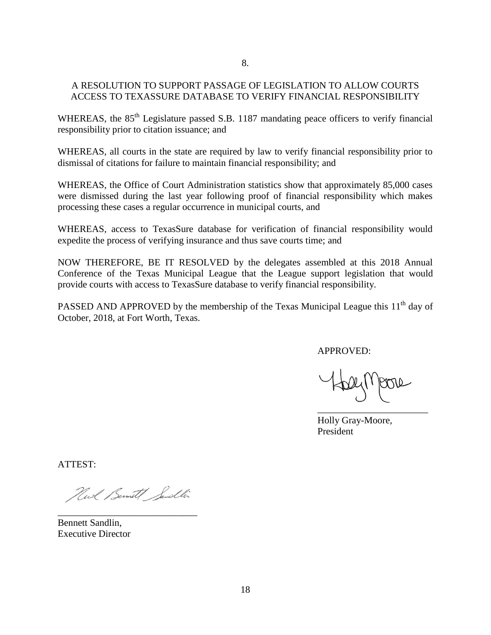#### A RESOLUTION TO SUPPORT PASSAGE OF LEGISLATION TO ALLOW COURTS ACCESS TO TEXASSURE DATABASE TO VERIFY FINANCIAL RESPONSIBILITY

WHEREAS, the 85<sup>th</sup> Legislature passed S.B. 1187 mandating peace officers to verify financial responsibility prior to citation issuance; and

WHEREAS, all courts in the state are required by law to verify financial responsibility prior to dismissal of citations for failure to maintain financial responsibility; and

WHEREAS, the Office of Court Administration statistics show that approximately 85,000 cases were dismissed during the last year following proof of financial responsibility which makes processing these cases a regular occurrence in municipal courts, and

WHEREAS, access to TexasSure database for verification of financial responsibility would expedite the process of verifying insurance and thus save courts time; and

NOW THEREFORE, BE IT RESOLVED by the delegates assembled at this 2018 Annual Conference of the Texas Municipal League that the League support legislation that would provide courts with access to TexasSure database to verify financial responsibility.

PASSED AND APPROVED by the membership of the Texas Municipal League this 11<sup>th</sup> day of October, 2018, at Fort Worth, Texas.

APPROVED:

\_\_\_\_\_\_\_\_\_\_\_\_\_\_\_\_\_\_\_\_\_\_\_

Holly Gray-Moore, President

ATTEST:

Neel Bennett Sendlin

Bennett Sandlin, Executive Director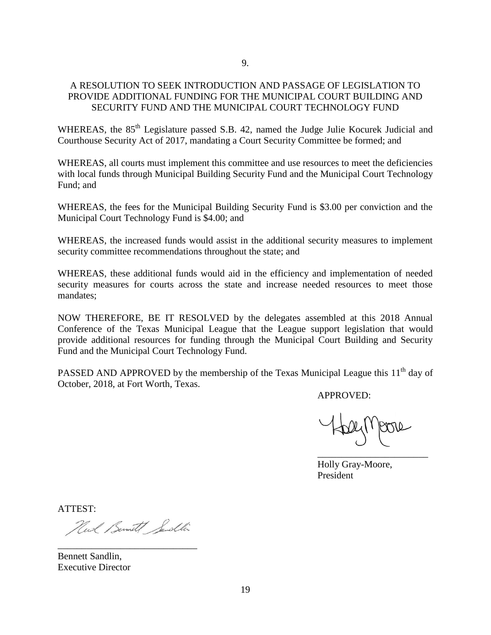#### A RESOLUTION TO SEEK INTRODUCTION AND PASSAGE OF LEGISLATION TO PROVIDE ADDITIONAL FUNDING FOR THE MUNICIPAL COURT BUILDING AND SECURITY FUND AND THE MUNICIPAL COURT TECHNOLOGY FUND

WHEREAS, the 85<sup>th</sup> Legislature passed S.B. 42, named the Judge Julie Kocurek Judicial and Courthouse Security Act of 2017, mandating a Court Security Committee be formed; and

WHEREAS, all courts must implement this committee and use resources to meet the deficiencies with local funds through Municipal Building Security Fund and the Municipal Court Technology Fund; and

WHEREAS, the fees for the Municipal Building Security Fund is \$3.00 per conviction and the Municipal Court Technology Fund is \$4.00; and

WHEREAS, the increased funds would assist in the additional security measures to implement security committee recommendations throughout the state; and

WHEREAS, these additional funds would aid in the efficiency and implementation of needed security measures for courts across the state and increase needed resources to meet those mandates;

NOW THEREFORE, BE IT RESOLVED by the delegates assembled at this 2018 Annual Conference of the Texas Municipal League that the League support legislation that would provide additional resources for funding through the Municipal Court Building and Security Fund and the Municipal Court Technology Fund.

PASSED AND APPROVED by the membership of the Texas Municipal League this 11<sup>th</sup> day of October, 2018, at Fort Worth, Texas.

APPROVED:

\_\_\_\_\_\_\_\_\_\_\_\_\_\_\_\_\_\_\_\_\_\_\_

Holly Gray-Moore, President

ATTEST:

Neel Bernett Sendlin

Bennett Sandlin, Executive Director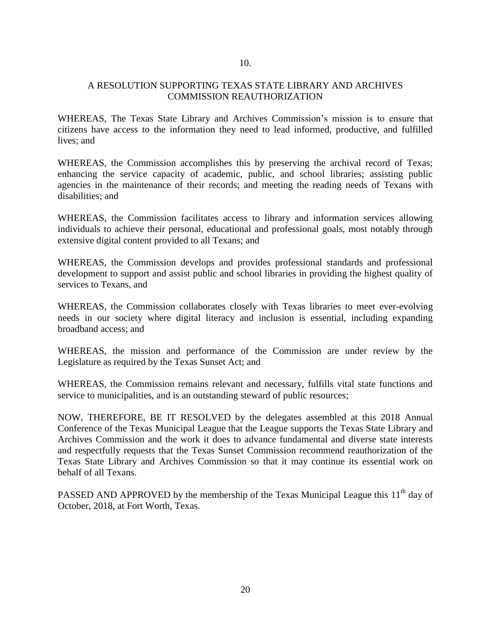#### A RESOLUTION SUPPORTING TEXAS STATE LIBRARY AND ARCHIVES COMMISSION REAUTHORIZATION

WHEREAS, The Texas State Library and Archives Commission's mission is to ensure that citizens have access to the information they need to lead informed, productive, and fulfilled lives; and

WHEREAS, the Commission accomplishes this by preserving the archival record of Texas; enhancing the service capacity of academic, public, and school libraries; assisting public agencies in the maintenance of their records; and meeting the reading needs of Texans with disabilities; and

WHEREAS, the Commission facilitates access to library and information services allowing individuals to achieve their personal, educational and professional goals, most notably through extensive digital content provided to all Texans; and

WHEREAS, the Commission develops and provides professional standards and professional development to support and assist public and school libraries in providing the highest quality of services to Texans, and

WHEREAS, the Commission collaborates closely with Texas libraries to meet ever-evolving needs in our society where digital literacy and inclusion is essential, including expanding broadband access; and

WHEREAS, the mission and performance of the Commission are under review by the Legislature as required by the Texas Sunset Act; and

WHEREAS, the Commission remains relevant and necessary, fulfills vital state functions and service to municipalities, and is an outstanding steward of public resources;

NOW, THEREFORE, BE IT RESOLVED by the delegates assembled at this 2018 Annual Conference of the Texas Municipal League that the League supports the Texas State Library and Archives Commission and the work it does to advance fundamental and diverse state interests and respectfully requests that the Texas Sunset Commission recommend reauthorization of the Texas State Library and Archives Commission so that it may continue its essential work on behalf of all Texans.

PASSED AND APPROVED by the membership of the Texas Municipal League this 11<sup>th</sup> day of October, 2018, at Fort Worth, Texas.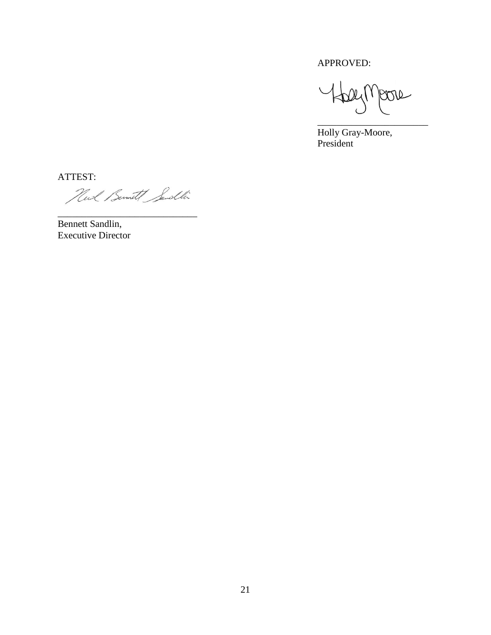APPROVED:

 $24(1)$ Jeon \_\_\_\_\_\_\_\_\_\_\_\_\_\_\_\_\_\_\_\_\_\_\_

Holly Gray-Moore, President

ATTEST:

Huck Bernet Sendlin

Bennett Sandlin, Executive Director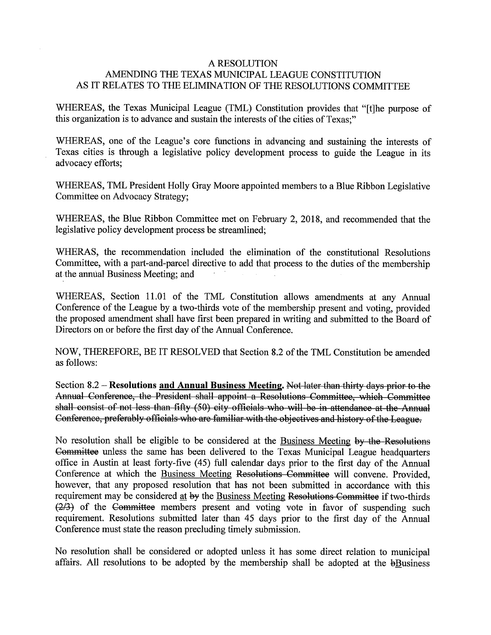#### **A RESOLUTION** AMENDING THE TEXAS MUNICIPAL LEAGUE CONSTITUTION AS IT RELATES TO THE ELIMINATION OF THE RESOLUTIONS COMMITTEE

WHEREAS, the Texas Municipal League (TML) Constitution provides that "[t]he purpose of this organization is to advance and sustain the interests of the cities of Texas;"

WHEREAS, one of the League's core functions in advancing and sustaining the interests of Texas cities is through a legislative policy development process to guide the League in its advocacy efforts;

WHEREAS, TML President Holly Gray Moore appointed members to a Blue Ribbon Legislative Committee on Advocacy Strategy;

WHEREAS, the Blue Ribbon Committee met on February 2, 2018, and recommended that the legislative policy development process be streamlined;

WHERAS, the recommendation included the elimination of the constitutional Resolutions Committee, with a part-and-parcel directive to add that process to the duties of the membership at the annual Business Meeting; and

WHEREAS, Section 11.01 of the TML Constitution allows amendments at any Annual Conference of the League by a two-thirds vote of the membership present and voting, provided the proposed amendment shall have first been prepared in writing and submitted to the Board of Directors on or before the first day of the Annual Conference.

NOW, THEREFORE, BE IT RESOLVED that Section 8.2 of the TML Constitution be amended as follows:

Section 8.2 – Resolutions and Annual Business Meeting. Not later than thirty days prior to the Annual Conference, the President shall appoint a Resolutions Committee, which Committee shall consist of not less than fifty (50) city officials who will be in attendance at the Annual Conference, preferably officials who are familiar with the objectives and history of the League.

No resolution shall be eligible to be considered at the Business Meeting by the Resolutions Committee unless the same has been delivered to the Texas Municipal League headquarters office in Austin at least forty-five (45) full calendar days prior to the first day of the Annual Conference at which the Business Meeting Resolutions Committee will convene. Provided, however, that any proposed resolution that has not been submitted in accordance with this requirement may be considered at by the Business Meeting Resolutions Committee if two-thirds  $\overline{(2/3)}$  of the Committee members present and voting vote in favor of suspending such requirement. Resolutions submitted later than 45 days prior to the first day of the Annual Conference must state the reason precluding timely submission.

No resolution shall be considered or adopted unless it has some direct relation to municipal affairs. All resolutions to be adopted by the membership shall be adopted at the bBusiness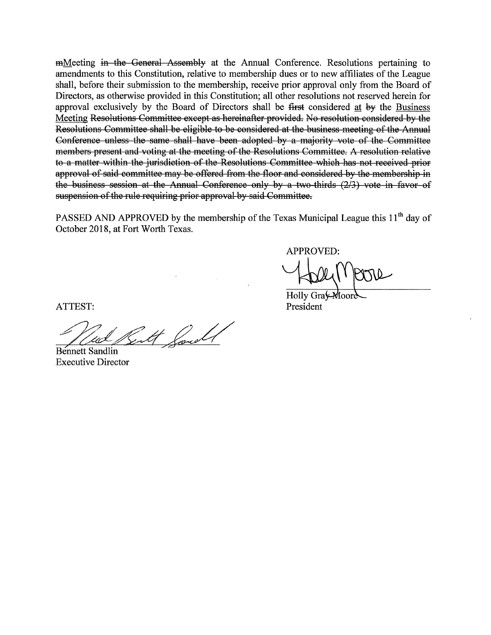mMeeting in the General Assembly at the Annual Conference. Resolutions pertaining to amendments to this Constitution, relative to membership dues or to new affiliates of the League shall, before their submission to the membership, receive prior approval only from the Board of Directors, as otherwise provided in this Constitution; all other resolutions not reserved herein for approval exclusively by the Board of Directors shall be first considered at by the Business Meeting Resolutions Committee except as hereinafter provided. No resolution considered by the Resolutions Committee shall be eligible to be considered at the business meeting of the Annual Conference unless the same shall have been adopted by a majority vote of the Committee members present and voting at the meeting of the Resolutions Committee. A resolution relative to a matter within the jurisdiction of the Resolutions Committee which has not received prior approval of said committee may be offered from the floor and considered by the membership in the business session at the Annual Conference only by a two-thirds (2/3) vote in favor of suspension of the rule requiring prior approval by said Committee.

PASSED AND APPROVED by the membership of the Texas Municipal League this 11<sup>th</sup> day of October 2018, at Fort Worth Texas.

**APPROVED:** 

Holly Gra President

ATTEST:

**Bennett Sandlin Executive Director**